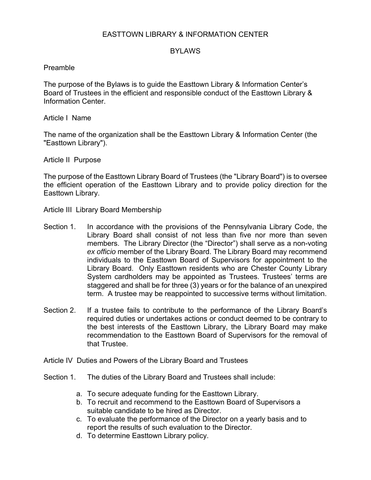# EASTTOWN LIBRARY & INFORMATION CENTER

# BYLAWS

### Preamble

The purpose of the Bylaws is to guide the Easttown Library & Information Center's Board of Trustees in the efficient and responsible conduct of the Easttown Library & Information Center.

Article I Name

The name of the organization shall be the Easttown Library & Information Center (the "Easttown Library").

Article II Purpose

The purpose of the Easttown Library Board of Trustees (the "Library Board") is to oversee the efficient operation of the Easttown Library and to provide policy direction for the Easttown Library.

Article III Library Board Membership

- Section 1. In accordance with the provisions of the Pennsylvania Library Code, the Library Board shall consist of not less than five nor more than seven members. The Library Director (the "Director") shall serve as a non-voting *ex officio* member of the Library Board. The Library Board may recommend individuals to the Easttown Board of Supervisors for appointment to the Library Board. Only Easttown residents who are Chester County Library System cardholders may be appointed as Trustees. Trustees' terms are staggered and shall be for three (3) years or for the balance of an unexpired term. A trustee may be reappointed to successive terms without limitation.
- Section 2. If a trustee fails to contribute to the performance of the Library Board's required duties or undertakes actions or conduct deemed to be contrary to the best interests of the Easttown Library, the Library Board may make recommendation to the Easttown Board of Supervisors for the removal of that Trustee.
- Article IV Duties and Powers of the Library Board and Trustees
- Section 1. The duties of the Library Board and Trustees shall include:
	- a. To secure adequate funding for the Easttown Library.
	- b. To recruit and recommend to the Easttown Board of Supervisors a suitable candidate to be hired as Director.
	- c. To evaluate the performance of the Director on a yearly basis and to report the results of such evaluation to the Director.
	- d. To determine Easttown Library policy.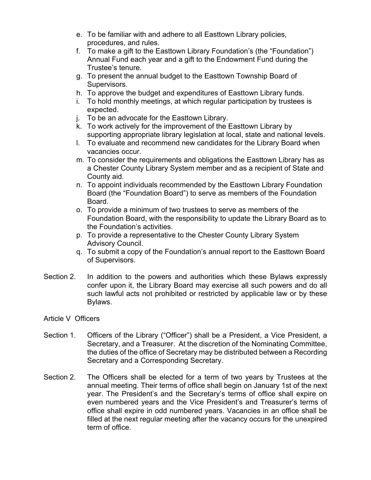- e. To be familiar with and adhere to all Easttown Library policies, procedures, and rules.
- f. To make a gift to the Easttown Library Foundation's (the "Foundation") Annual Fund each year and a gift to the Endowment Fund during the Trustee's tenure.
- g. To present the annual budget to the Easttown Township Board of Supervisors.
- h. To approve the budget and expenditures of Easttown Library funds.
- i. To hold monthly meetings, at which regular participation by trustees is expected.
- j. To be an advocate for the Easttown Library.
- k. To work actively for the improvement of the Easttown Library by supporting appropriate library legislation at local, state and national levels.
- l. To evaluate and recommend new candidates for the Library Board when vacancies occur.
- m. To consider the requirements and obligations the Easttown Library has as a Chester County Library System member and as a recipient of State and County aid.
- n. To appoint individuals recommended by the Easttown Library Foundation Board (the "Foundation Board") to serve as members of the Foundation Board.
- o. To provide a minimum of two trustees to serve as members of the Foundation Board, with the responsibility to update the Library Board as to the Foundation's activities.
- p. To provide a representative to the Chester County Library System Advisory Council.
- q. To submit a copy of the Foundation's annual report to the Easttown Board of Supervisors.
- Section 2. In addition to the powers and authorities which these Bylaws expressly confer upon it, the Library Board may exercise all such powers and do all such lawful acts not prohibited or restricted by applicable law or by these Bylaws.
- Article V Officers
- Section 1. Officers of the Library ("Officer") shall be a President, a Vice President, a Secretary, and a Treasurer. At the discretion of the Nominating Committee, the duties of the office of Secretary may be distributed between a Recording Secretary and a Corresponding Secretary.
- Section 2. The Officers shall be elected for a term of two years by Trustees at the annual meeting. Their terms of office shall begin on January 1st of the next year. The President's and the Secretary's terms of office shall expire on even numbered years and the Vice President's and Treasurer's terms of office shall expire in odd numbered years. Vacancies in an office shall be filled at the next regular meeting after the vacancy occurs for the unexpired term of office.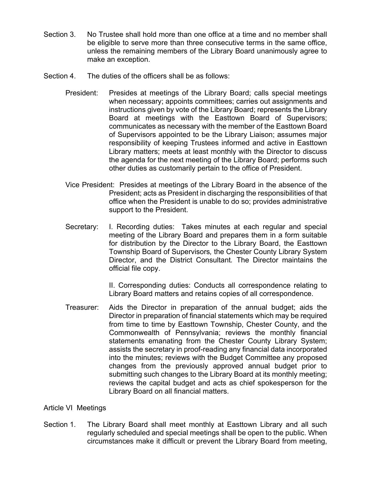- Section 3. No Trustee shall hold more than one office at a time and no member shall be eligible to serve more than three consecutive terms in the same office, unless the remaining members of the Library Board unanimously agree to make an exception.
- Section 4. The duties of the officers shall be as follows:
	- President: Presides at meetings of the Library Board; calls special meetings when necessary; appoints committees; carries out assignments and instructions given by vote of the Library Board; represents the Library Board at meetings with the Easttown Board of Supervisors; communicates as necessary with the member of the Easttown Board of Supervisors appointed to be the Library Liaison; assumes major responsibility of keeping Trustees informed and active in Easttown Library matters; meets at least monthly with the Director to discuss the agenda for the next meeting of the Library Board; performs such other duties as customarily pertain to the office of President.
	- Vice President: Presides at meetings of the Library Board in the absence of the President; acts as President in discharging the responsibilities of that office when the President is unable to do so; provides administrative support to the President.
	- Secretary: I. Recording duties: Takes minutes at each regular and special meeting of the Library Board and prepares them in a form suitable for distribution by the Director to the Library Board, the Easttown Township Board of Supervisors*,* the Chester County Library System Director, and the District Consultant*.* The Director maintains the official file copy.

II. Corresponding duties: Conducts all correspondence relating to Library Board matters and retains copies of all correspondence.

Treasurer: Aids the Director in preparation of the annual budget; aids the Director in preparation of financial statements which may be required from time to time by Easttown Township, Chester County, and the Commonwealth of Pennsylvania; reviews the monthly financial statements emanating from the Chester County Library System; assists the secretary in proof-reading any financial data incorporated into the minutes; reviews with the Budget Committee any proposed changes from the previously approved annual budget prior to submitting such changes to the Library Board at its monthly meeting; reviews the capital budget and acts as chief spokesperson for the Library Board on all financial matters.

# Article VI Meetings

Section 1. The Library Board shall meet monthly at Easttown Library and all such regularly scheduled and special meetings shall be open to the public. When circumstances make it difficult or prevent the Library Board from meeting,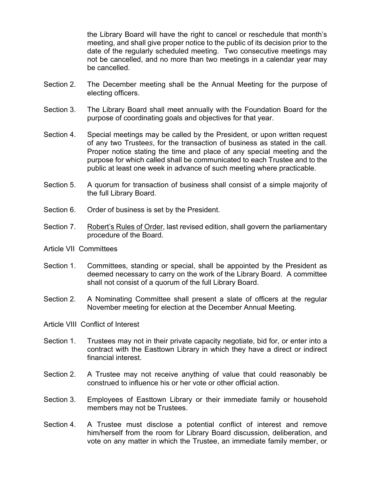the Library Board will have the right to cancel or reschedule that month's meeting, and shall give proper notice to the public of its decision prior to the date of the regularly scheduled meeting. Two consecutive meetings may not be cancelled, and no more than two meetings in a calendar year may be cancelled.

- Section 2. The December meeting shall be the Annual Meeting for the purpose of electing officers.
- Section 3. The Library Board shall meet annually with the Foundation Board for the purpose of coordinating goals and objectives for that year.
- Section 4. Special meetings may be called by the President, or upon written request of any two Trustee*s*, for the transaction of business as stated in the call. Proper notice stating the time and place of any special meeting and the purpose for which called shall be communicated to each Trustee and to the public at least one week in advance of such meeting where practicable.
- Section 5. A quorum for transaction of business shall consist of a simple majority of the full Library Board.
- Section 6. Order of business is set by the President.
- Section 7. Robert's Rules of Order, last revised edition, shall govern the parliamentary procedure of the Board.
- Article VII Committees
- Section 1. Committees, standing or special, shall be appointed by the President as deemed necessary to carry on the work of the Library Board. A committee shall not consist of a quorum of the full Library Board.
- Section 2. A Nominating Committee shall present a slate of officers at the regular November meeting for election at the December Annual Meeting.
- Article VIII Conflict of Interest
- Section 1. Trustees may not in their private capacity negotiate, bid for, or enter into a contract with the Easttown Library in which they have a direct or indirect financial interest.
- Section 2. A Trustee may not receive anything of value that could reasonably be construed to influence his or her vote or other official action.
- Section 3. Employees of Easttown Library or their immediate family or household members may not be Trustees.
- Section 4. A Trustee must disclose a potential conflict of interest and remove him/herself from the room for Library Board discussion, deliberation, and vote on any matter in which the Trustee, an immediate family member, or